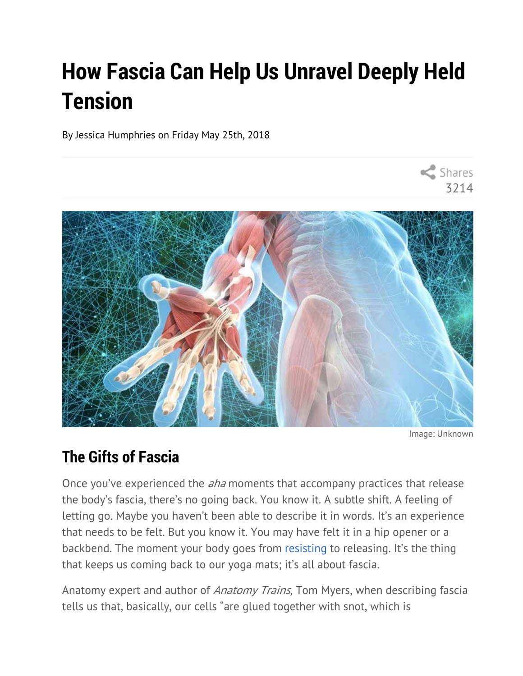# **How Fascia Can Help Us Unravel Deeply Held Tension**

By Jessica Humphries on Friday May 25th, 2018



Image: Unknown

3214

Shares

# **The Gifts of Fascia**

Once you've experienced the *aha* moments that accompany practices that release the body's fascia, there's no going back. You know it. A subtle shift. A feeling of letting go. Maybe you haven't been able to describe it in words. It's an experience that needs to be felt. But you know it. You may have felt it in a hip opener or a backbend. The moment your body goes from resisting to releasing. It's the thing that keeps us coming back to our yoga mats; it's all about fascia.

Anatomy expert and author of Anatomy Trains, Tom Myers, when describing fascia tells us that, basically, our cells "are glued together with snot, which is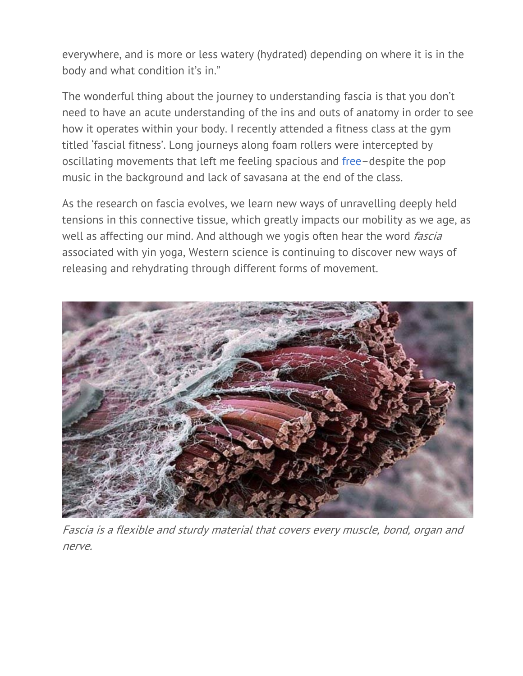everywhere, and is more or less watery (hydrated) depending on where it is in the body and what condition it's in."

The wonderful thing about the journey to understanding fascia is that you don't need to have an acute understanding of the ins and outs of anatomy in order to see how it operates within your body. I recently attended a fitness class at the gym titled 'fascial fitness'. Long journeys along foam rollers were intercepted by oscillating movements that left me feeling spacious and free–despite the pop music in the background and lack of savasana at the end of the class.

As the research on fascia evolves, we learn new ways of unravelling deeply held tensions in this connective tissue, which greatly impacts our mobility as we age, as well as affecting our mind. And although we yogis often hear the word *fascia* associated with yin yoga, Western science is continuing to discover new ways of releasing and rehydrating through different forms of movement.



Fascia is a flexible and sturdy material that covers every muscle, bond, organ and nerve.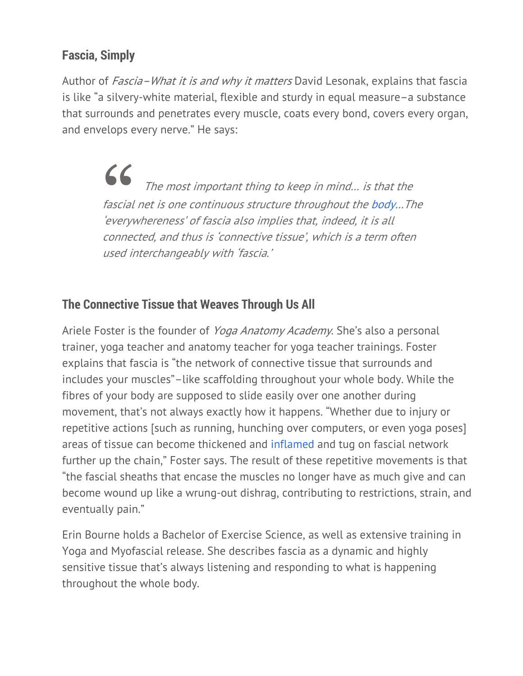#### **Fascia, Simply**

Author of Fascia–What it is and why it matters David Lesonak, explains that fascia is like "a silvery-white material, flexible and sturdy in equal measure–a substance that surrounds and penetrates every muscle, coats every bond, covers every organ, and envelops every nerve." He says:

> $\begin{array}{c} \begin{array}{c} \textbf{6} \\ \textbf{7} \\ \textbf{8} \end{array} \end{array}$  The most important thing to keep in mind... is that the fascial net is one continuous structure throughout the body…The 'everywhereness' of fascia also implies that, indeed, it is all connected, and thus is 'connective tissue', which is a term often used interchangeably with 'fascia.'

#### **The Connective Tissue that Weaves Through Us All**

Ariele Foster is the founder of *Yoga Anatomy Academy*. She's also a personal trainer, yoga teacher and anatomy teacher for yoga teacher trainings. Foster explains that fascia is "the network of connective tissue that surrounds and includes your muscles"–like scaffolding throughout your whole body. While the fibres of your body are supposed to slide easily over one another during movement, that's not always exactly how it happens. "Whether due to injury or repetitive actions [such as running, hunching over computers, or even yoga poses] areas of tissue can become thickened and inflamed and tug on fascial network further up the chain," Foster says. The result of these repetitive movements is that "the fascial sheaths that encase the muscles no longer have as much give and can become wound up like a wrung-out dishrag, contributing to restrictions, strain, and eventually pain."

Erin Bourne holds a Bachelor of Exercise Science, as well as extensive training in Yoga and Myofascial release. She describes fascia as a dynamic and highly sensitive tissue that's always listening and responding to what is happening throughout the whole body.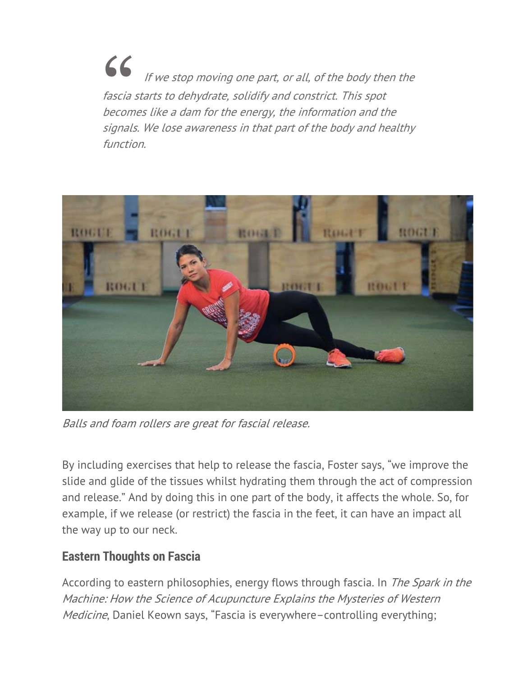If we stop moving one part, or all, of the body then the fascia starts to dehydrate, solidify and constrict. This spot becomes like a dam for the energy, the information and the signals. We lose awareness in that part of the body and healthy function.



Balls and foam rollers are great for fascial release.

By including exercises that help to release the fascia, Foster says, "we improve the slide and glide of the tissues whilst hydrating them through the act of compression and release." And by doing this in one part of the body, it affects the whole. So, for example, if we release (or restrict) the fascia in the feet, it can have an impact all the way up to our neck.

#### **Eastern Thoughts on Fascia**

According to eastern philosophies, energy flows through fascia. In The Spark in the Machine: How the Science of Acupuncture Explains the Mysteries of Western Medicine, Daniel Keown says, "Fascia is everywhere-controlling everything;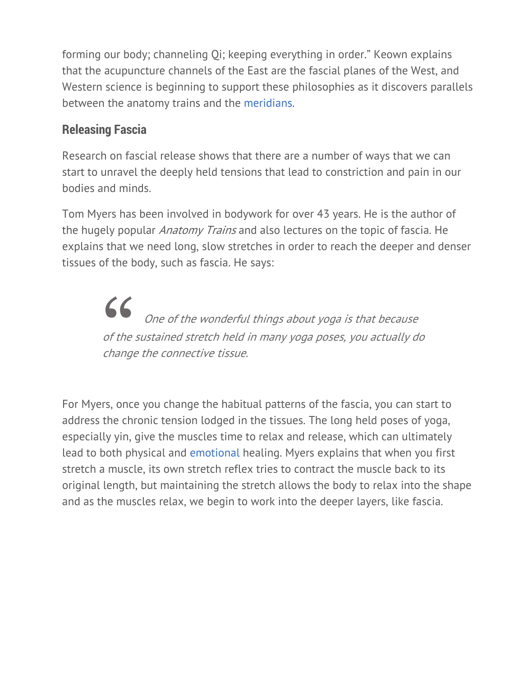forming our body; channeling Qi; keeping everything in order." Keown explains that the acupuncture channels of the East are the fascial planes of the West, and Western science is beginning to support these philosophies as it discovers parallels between the anatomy trains and the meridians.

### **Releasing Fascia**

Research on fascial release shows that there are a number of ways that we can start to unravel the deeply held tensions that lead to constriction and pain in our bodies and minds.

Tom Myers has been involved in bodywork for over 43 years. He is the author of the hugely popular *Anatomy Trains* and also lectures on the topic of fascia. He explains that we need long, slow stretches in order to reach the deeper and denser tissues of the body, such as fascia. He says:

> 66 One of the wonderful things about yoga is that because of the sustained stretch held in many yoga poses, you actually do change the connective tissue.

For Myers, once you change the habitual patterns of the fascia, you can start to address the chronic tension lodged in the tissues. The long held poses of yoga, especially yin, give the muscles time to relax and release, which can ultimately lead to both physical and emotional healing. Myers explains that when you first stretch a muscle, its own stretch reflex tries to contract the muscle back to its original length, but maintaining the stretch allows the body to relax into the shape and as the muscles relax, we begin to work into the deeper layers, like fascia.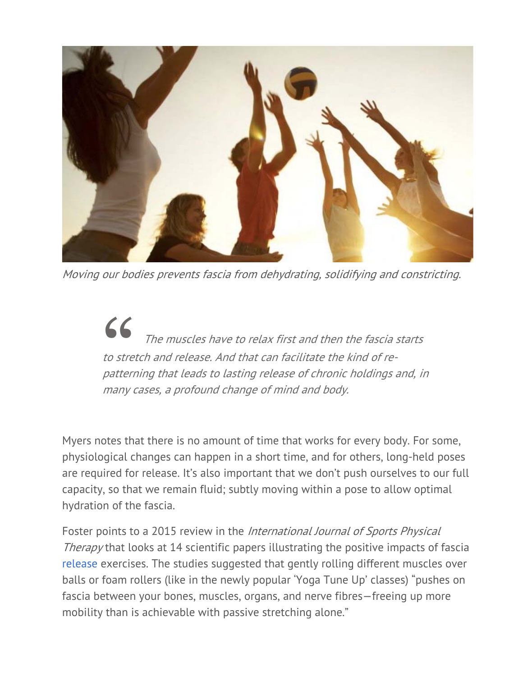

Moving our bodies prevents fascia from dehydrating, solidifying and constricting.

 $\begin{array}{c} \begin{array}{ccc} \bullet & \bullet & \end{array} \end{array}$  The muscles have to relax first and then the fascia starts to stretch and release. And that can facilitate the kind of repatterning that leads to lasting release of chronic holdings and, in many cases, a profound change of mind and body.

Myers notes that there is no amount of time that works for every body. For some, physiological changes can happen in a short time, and for others, long-held poses are required for release. It's also important that we don't push ourselves to our full capacity, so that we remain fluid; subtly moving within a pose to allow optimal hydration of the fascia.

Foster points to a 2015 review in the International Journal of Sports Physical Therapy that looks at 14 scientific papers illustrating the positive impacts of fascia release exercises. The studies suggested that gently rolling different muscles over balls or foam rollers (like in the newly popular 'Yoga Tune Up' classes) "pushes on fascia between your bones, muscles, organs, and nerve fibres—freeing up more mobility than is achievable with passive stretching alone."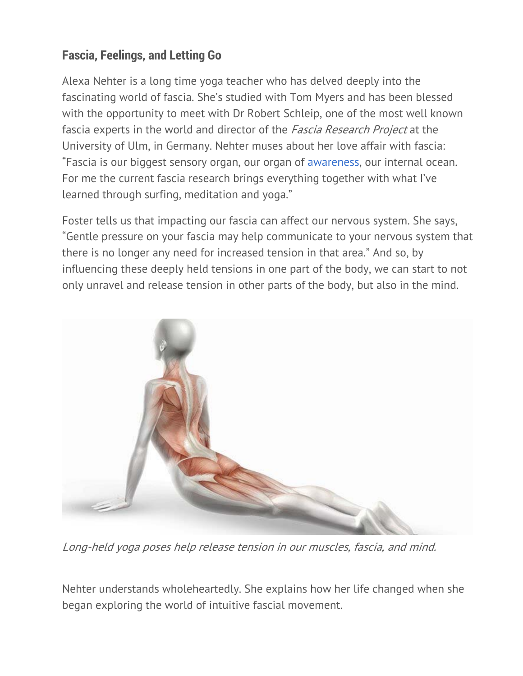## **Fascia, Feelings, and Letting Go**

Alexa Nehter is a long time yoga teacher who has delved deeply into the fascinating world of fascia. She's studied with Tom Myers and has been blessed with the opportunity to meet with Dr Robert Schleip, one of the most well known fascia experts in the world and director of the *Fascia Research Project* at the University of Ulm, in Germany. Nehter muses about her love affair with fascia: "Fascia is our biggest sensory organ, our organ of awareness, our internal ocean. For me the current fascia research brings everything together with what I've learned through surfing, meditation and yoga."

Foster tells us that impacting our fascia can affect our nervous system. She says, "Gentle pressure on your fascia may help communicate to your nervous system that there is no longer any need for increased tension in that area." And so, by influencing these deeply held tensions in one part of the body, we can start to not only unravel and release tension in other parts of the body, but also in the mind.



Long-held yoga poses help release tension in our muscles, fascia, and mind.

Nehter understands wholeheartedly. She explains how her life changed when she began exploring the world of intuitive fascial movement.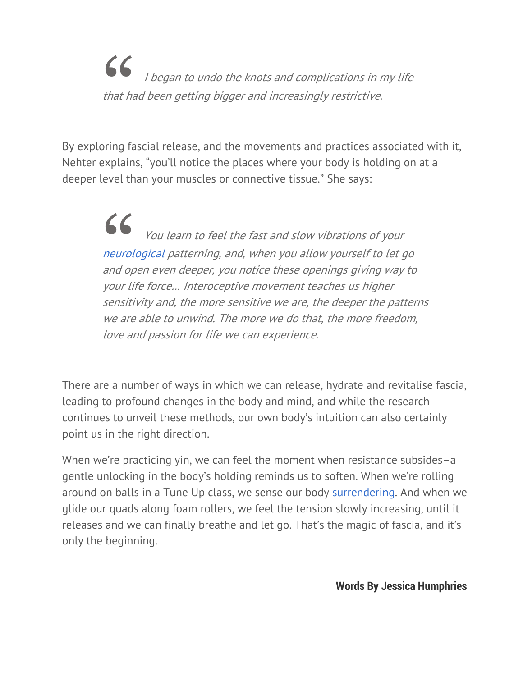"I began to undo the knots and complications in my life that had been getting bigger and increasingly restrictive.

By exploring fascial release, and the movements and practices associated with it, Nehter explains, "you'll notice the places where your body is holding on at a deeper level than your muscles or connective tissue." She says:

> " You learn to feel the fast and slow vibrations of your neurological patterning, and, when you allow yourself to let go and open even deeper, you notice these openings giving way to your life force… Interoceptive movement teaches us higher sensitivity and, the more sensitive we are, the deeper the patterns we are able to unwind. The more we do that, the more freedom, love and passion for life we can experience.

There are a number of ways in which we can release, hydrate and revitalise fascia, leading to profound changes in the body and mind, and while the research continues to unveil these methods, our own body's intuition can also certainly point us in the right direction.

When we're practicing yin, we can feel the moment when resistance subsides–a gentle unlocking in the body's holding reminds us to soften. When we're rolling around on balls in a Tune Up class, we sense our body surrendering. And when we glide our quads along foam rollers, we feel the tension slowly increasing, until it releases and we can finally breathe and let go. That's the magic of fascia, and it's only the beginning.